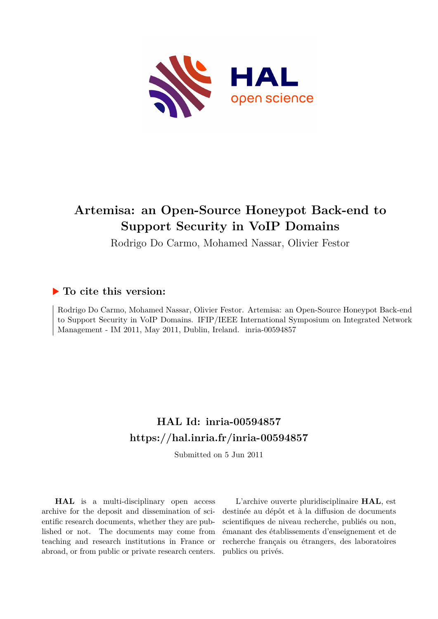

# **Artemisa: an Open-Source Honeypot Back-end to Support Security in VoIP Domains**

Rodrigo Do Carmo, Mohamed Nassar, Olivier Festor

# **To cite this version:**

Rodrigo Do Carmo, Mohamed Nassar, Olivier Festor. Artemisa: an Open-Source Honeypot Back-end to Support Security in VoIP Domains. IFIP/IEEE International Symposium on Integrated Network Management - IM 2011, May 2011, Dublin, Ireland. inria-00594857

# **HAL Id: inria-00594857 <https://hal.inria.fr/inria-00594857>**

Submitted on 5 Jun 2011

**HAL** is a multi-disciplinary open access archive for the deposit and dissemination of scientific research documents, whether they are published or not. The documents may come from teaching and research institutions in France or abroad, or from public or private research centers.

L'archive ouverte pluridisciplinaire **HAL**, est destinée au dépôt et à la diffusion de documents scientifiques de niveau recherche, publiés ou non, émanant des établissements d'enseignement et de recherche français ou étrangers, des laboratoires publics ou privés.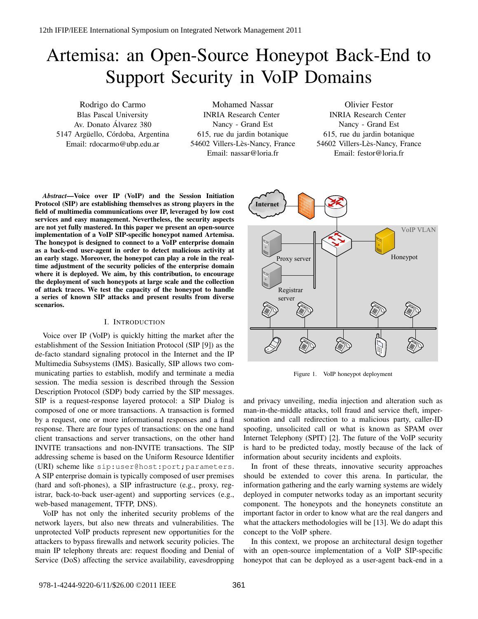# Artemisa: an Open-Source Honeypot Back-End to Support Security in VoIP Domains

Rodrigo do Carmo Blas Pascal University Av. Donato Alvarez 380 ´ 5147 Argüello, Córdoba, Argentina Email: rdocarmo@ubp.edu.ar

Mohamed Nassar INRIA Research Center Nancy - Grand Est 615, rue du jardin botanique 54602 Villers-Lès-Nancy, France Email: nassar@loria.fr

Olivier Festor INRIA Research Center Nancy - Grand Est 615, rue du jardin botanique 54602 Villers-Lès-Nancy, France Email: festor@loria.fr

*Abstract*—Voice over IP (VoIP) and the Session Initiation Protocol (SIP) are establishing themselves as strong players in the field of multimedia communications over IP, leveraged by low cost services and easy management. Nevertheless, the security aspects are not yet fully mastered. In this paper we present an open-source implementation of a VoIP SIP-specific honeypot named Artemisa. The honeypot is designed to connect to a VoIP enterprise domain as a back-end user-agent in order to detect malicious activity at an early stage. Moreover, the honeypot can play a role in the realtime adjustment of the security policies of the enterprise domain where it is deployed. We aim, by this contribution, to encourage the deployment of such honeypots at large scale and the collection of attack traces. We test the capacity of the honeypot to handle a series of known SIP attacks and present results from diverse scenarios.

# I. INTRODUCTION

Voice over IP (VoIP) is quickly hitting the market after the establishment of the Session Initiation Protocol (SIP [9]) as the de-facto standard signaling protocol in the Internet and the IP Multimedia Subsystems (IMS). Basically, SIP allows two communicating parties to establish, modify and terminate a media session. The media session is described through the Session Description Protocol (SDP) body carried by the SIP messages. SIP is a request-response layered protocol: a SIP Dialog is composed of one or more transactions. A transaction is formed by a request, one or more informational responses and a final response. There are four types of transactions: on the one hand client transactions and server transactions, on the other hand INVITE transactions and non-INVITE transactions. The SIP addressing scheme is based on the Uniform Resource Identifier (URI) scheme like sip:user@host:port;parameters. A SIP enterprise domain is typically composed of user premises (hard and soft-phones), a SIP infrastructure (e.g., proxy, registrar, back-to-back user-agent) and supporting services (e.g., web-based management, TFTP, DNS).

VoIP has not only the inherited security problems of the network layers, but also new threats and vulnerabilities. The unprotected VoIP products represent new opportunities for the attackers to bypass firewalls and network security policies. The main IP telephony threats are: request flooding and Denial of Service (DoS) affecting the service availability, eavesdropping



Figure 1. VoIP honeypot deployment

and privacy unveiling, media injection and alteration such as man-in-the-middle attacks, toll fraud and service theft, impersonation and call redirection to a malicious party, caller-ID spoofing, unsolicited call or what is known as SPAM over Internet Telephony (SPIT) [2]. The future of the VoIP security is hard to be predicted today, mostly because of the lack of information about security incidents and exploits.

In front of these threats, innovative security approaches should be extended to cover this arena. In particular, the information gathering and the early warning systems are widely deployed in computer networks today as an important security component. The honeypots and the honeynets constitute an important factor in order to know what are the real dangers and what the attackers methodologies will be [13]. We do adapt this concept to the VoIP sphere.

In this context, we propose an architectural design together with an open-source implementation of a VoIP SIP-specific honeypot that can be deployed as a user-agent back-end in a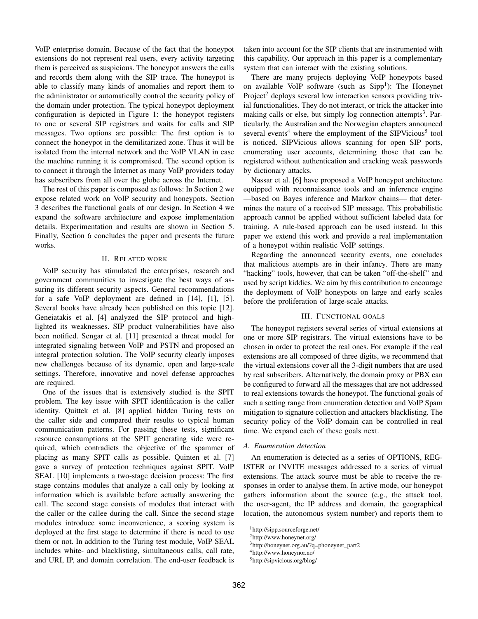VoIP enterprise domain. Because of the fact that the honeypot extensions do not represent real users, every activity targeting them is perceived as suspicious. The honeypot answers the calls and records them along with the SIP trace. The honeypot is able to classify many kinds of anomalies and report them to the administrator or automatically control the security policy of the domain under protection. The typical honeypot deployment configuration is depicted in Figure 1: the honeypot registers to one or several SIP registrars and waits for calls and SIP messages. Two options are possible: The first option is to connect the honeypot in the demilitarized zone. Thus it will be isolated from the internal network and the VoIP VLAN in case the machine running it is compromised. The second option is to connect it through the Internet as many VoIP providers today has subscribers from all over the globe across the Internet.

The rest of this paper is composed as follows: In Section 2 we expose related work on VoIP security and honeypots. Section 3 describes the functional goals of our design. In Section 4 we expand the software architecture and expose implementation details. Experimentation and results are shown in Section 5. Finally, Section 6 concludes the paper and presents the future works.

# II. RELATED WORK

VoIP security has stimulated the enterprises, research and government communities to investigate the best ways of assuring its different security aspects. General recommendations for a safe VoIP deployment are defined in [14], [1], [5]. Several books have already been published on this topic [12]. Geneiatakis et al. [4] analyzed the SIP protocol and highlighted its weaknesses. SIP product vulnerabilities have also been notified. Sengar et al. [11] presented a threat model for integrated signaling between VoIP and PSTN and proposed an integral protection solution. The VoIP security clearly imposes new challenges because of its dynamic, open and large-scale settings. Therefore, innovative and novel defense approaches are required.

One of the issues that is extensively studied is the SPIT problem. The key issue with SPIT identification is the caller identity. Quittek et al. [8] applied hidden Turing tests on the caller side and compared their results to typical human communication patterns. For passing these tests, significant resource consumptions at the SPIT generating side were required, which contradicts the objective of the spammer of placing as many SPIT calls as possible. Quinten et al. [7] gave a survey of protection techniques against SPIT. VoIP SEAL [10] implements a two-stage decision process: The first stage contains modules that analyze a call only by looking at information which is available before actually answering the call. The second stage consists of modules that interact with the caller or the callee during the call. Since the second stage modules introduce some inconvenience, a scoring system is deployed at the first stage to determine if there is need to use them or not. In addition to the Turing test module, VoIP SEAL includes white- and blacklisting, simultaneous calls, call rate, and URI, IP, and domain correlation. The end-user feedback is taken into account for the SIP clients that are instrumented with this capability. Our approach in this paper is a complementary system that can interact with the existing solutions.

There are many projects deploying VoIP honeypots based on available VoIP software (such as  $Sipp<sup>1</sup>$ ): The Honeynet Project<sup>2</sup> deploys several low interaction sensors providing trivial functionalities. They do not interact, or trick the attacker into making calls or else, but simply log connection attempts<sup>3</sup>. Particularly, the Australian and the Norwegian chapters announced several events<sup>4</sup> where the employment of the SIPVicious<sup>5</sup> tool is noticed. SIPVicious allows scanning for open SIP ports, enumerating user accounts, determining those that can be registered without authentication and cracking weak passwords by dictionary attacks.

Nassar et al. [6] have proposed a VoIP honeypot architecture equipped with reconnaissance tools and an inference engine —based on Bayes inference and Markov chains— that determines the nature of a received SIP message. This probabilistic approach cannot be applied without sufficient labeled data for training. A rule-based approach can be used instead. In this paper we extend this work and provide a real implementation of a honeypot within realistic VoIP settings.

Regarding the announced security events, one concludes that malicious attempts are in their infancy. There are many "hacking" tools, however, that can be taken "off-the-shelf" and used by script kiddies. We aim by this contribution to encourage the deployment of VoIP honeypots on large and early scales before the proliferation of large-scale attacks.

### III. FUNCTIONAL GOALS

The honeypot registers several series of virtual extensions at one or more SIP registrars. The virtual extensions have to be chosen in order to protect the real ones. For example if the real extensions are all composed of three digits, we recommend that the virtual extensions cover all the 3-digit numbers that are used by real subscribers. Alternatively, the domain proxy or PBX can be configured to forward all the messages that are not addressed to real extensions towards the honeypot. The functional goals of such a setting range from enumeration detection and VoIP Spam mitigation to signature collection and attackers blacklisting. The security policy of the VoIP domain can be controlled in real time. We expand each of these goals next.

# *A. Enumeration detection*

An enumeration is detected as a series of OPTIONS, REG-ISTER or INVITE messages addressed to a series of virtual extensions. The attack source must be able to receive the responses in order to analyse them. In active mode, our honeypot gathers information about the source (e.g., the attack tool, the user-agent, the IP address and domain, the geographical location, the autonomous system number) and reports them to

<sup>1</sup>http://sipp.sourceforge.net/

<sup>2</sup>http://www.honeynet.org/

<sup>&</sup>lt;sup>3</sup>http://honeynet.org.au/?q=phoneynet\_part2

<sup>4</sup>http://www.honeynor.no/

<sup>5</sup>http://sipvicious.org/blog/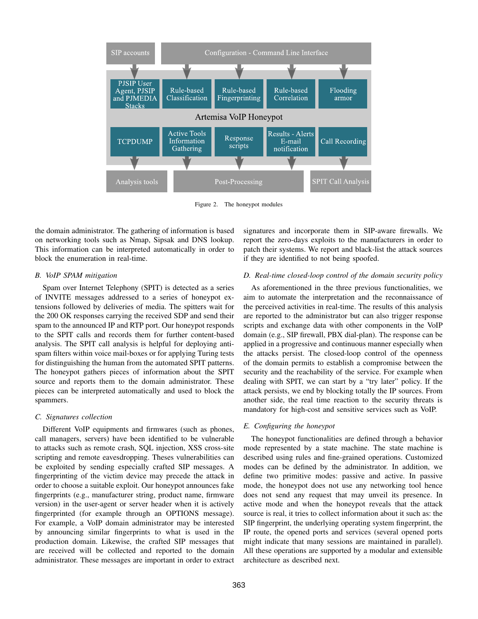

Figure 2. The honeypot modules

the domain administrator. The gathering of information is based on networking tools such as Nmap, Sipsak and DNS lookup. This information can be interpreted automatically in order to block the enumeration in real-time.

# *B. VoIP SPAM mitigation*

Spam over Internet Telephony (SPIT) is detected as a series of INVITE messages addressed to a series of honeypot extensions followed by deliveries of media. The spitters wait for the 200 OK responses carrying the received SDP and send their spam to the announced IP and RTP port. Our honeypot responds to the SPIT calls and records them for further content-based analysis. The SPIT call analysis is helpful for deploying antispam filters within voice mail-boxes or for applying Turing tests for distinguishing the human from the automated SPIT patterns. The honeypot gathers pieces of information about the SPIT source and reports them to the domain administrator. These pieces can be interpreted automatically and used to block the spammers.

# *C. Signatures collection*

Different VoIP equipments and firmwares (such as phones, call managers, servers) have been identified to be vulnerable to attacks such as remote crash, SQL injection, XSS cross-site scripting and remote eavesdropping. Theses vulnerabilities can be exploited by sending especially crafted SIP messages. A fingerprinting of the victim device may precede the attack in order to choose a suitable exploit. Our honeypot announces fake fingerprints (e.g., manufacturer string, product name, firmware version) in the user-agent or server header when it is actively fingerprinted (for example through an OPTIONS message). For example, a VoIP domain administrator may be interested by announcing similar fingerprints to what is used in the production domain. Likewise, the crafted SIP messages that are received will be collected and reported to the domain administrator. These messages are important in order to extract

signatures and incorporate them in SIP-aware firewalls. We report the zero-days exploits to the manufacturers in order to patch their systems. We report and black-list the attack sources if they are identified to not being spoofed.

# *D. Real-time closed-loop control of the domain security policy*

As aforementioned in the three previous functionalities, we aim to automate the interpretation and the reconnaissance of the perceived activities in real-time. The results of this analysis are reported to the administrator but can also trigger response scripts and exchange data with other components in the VoIP domain (e.g., SIP firewall, PBX dial-plan). The response can be applied in a progressive and continuous manner especially when the attacks persist. The closed-loop control of the openness of the domain permits to establish a compromise between the security and the reachability of the service. For example when dealing with SPIT, we can start by a "try later" policy. If the attack persists, we end by blocking totally the IP sources. From another side, the real time reaction to the security threats is mandatory for high-cost and sensitive services such as VoIP.

# *E. Configuring the honeypot*

The honeypot functionalities are defined through a behavior mode represented by a state machine. The state machine is described using rules and fine-grained operations. Customized modes can be defined by the administrator. In addition, we define two primitive modes: passive and active. In passive mode, the honeypot does not use any networking tool hence does not send any request that may unveil its presence. In active mode and when the honeypot reveals that the attack source is real, it tries to collect information about it such as: the SIP fingerprint, the underlying operating system fingerprint, the IP route, the opened ports and services (several opened ports might indicate that many sessions are maintained in parallel). All these operations are supported by a modular and extensible architecture as described next.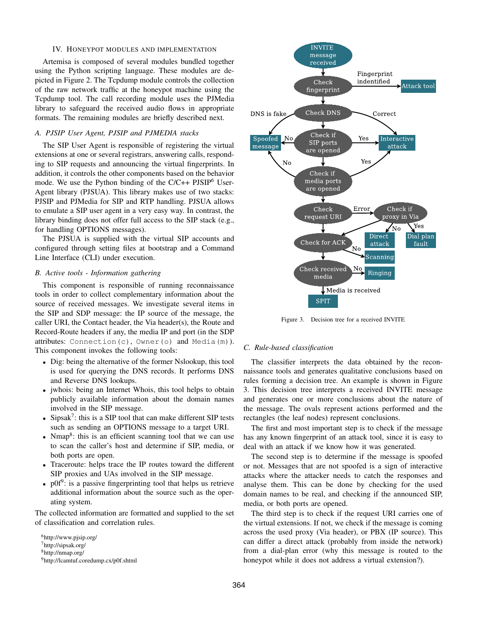#### IV. HONEYPOT MODULES AND IMPLEMENTATION

Artemisa is composed of several modules bundled together using the Python scripting language. These modules are depicted in Figure 2. The Tcpdump module controls the collection of the raw network traffic at the honeypot machine using the Tcpdump tool. The call recording module uses the PJMedia library to safeguard the received audio flows in appropriate formats. The remaining modules are briefly described next.

# *A. PJSIP User Agent, PJSIP and PJMEDIA stacks*

The SIP User Agent is responsible of registering the virtual extensions at one or several registrars, answering calls, responding to SIP requests and announcing the virtual fingerprints. In addition, it controls the other components based on the behavior mode. We use the Python binding of the  $C/C++$  PJSIP<sup>6</sup> User-Agent library (PJSUA). This library makes use of two stacks: PJSIP and PJMedia for SIP and RTP handling. PJSUA allows to emulate a SIP user agent in a very easy way. In contrast, the library binding does not offer full access to the SIP stack (e.g., for handling OPTIONS messages).

The PJSUA is supplied with the virtual SIP accounts and configured through setting files at bootstrap and a Command Line Interface (CLI) under execution.

# *B. Active tools - Information gathering*

This component is responsible of running reconnaissance tools in order to collect complementary information about the source of received messages. We investigate several items in the SIP and SDP message: the IP source of the message, the caller URI, the Contact header, the Via header(s), the Route and Record-Route headers if any, the media IP and port (in the SDP attributes: Connection(c), Owner(o) and Media(m)). This component invokes the following tools:

- Dig: being the alternative of the former Nslookup, this tool is used for querying the DNS records. It performs DNS and Reverse DNS lookups.
- jwhois: being an Internet Whois, this tool helps to obtain publicly available information about the domain names involved in the SIP message.
- Sipsak<sup>7</sup>: this is a SIP tool that can make different SIP tests such as sending an OPTIONS message to a target URI.
- Nmap<sup>8</sup>: this is an efficient scanning tool that we can use to scan the caller's host and determine if SIP, media, or both ports are open.
- Traceroute: helps trace the IP routes toward the different SIP proxies and UAs involved in the SIP message.
- $\text{p0f}^9$ : is a passive fingerprinting tool that helps us retrieve additional information about the source such as the operating system.

The collected information are formatted and supplied to the set of classification and correlation rules.



Figure 3. Decision tree for a received INVITE

## *C. Rule-based classification*

The classifier interprets the data obtained by the reconnaissance tools and generates qualitative conclusions based on rules forming a decision tree. An example is shown in Figure 3. This decision tree interprets a received INVITE message and generates one or more conclusions about the nature of the message. The ovals represent actions performed and the rectangles (the leaf nodes) represent conclusions.

The first and most important step is to check if the message has any known fingerprint of an attack tool, since it is easy to deal with an attack if we know how it was generated.

The second step is to determine if the message is spoofed or not. Messages that are not spoofed is a sign of interactive attacks where the attacker needs to catch the responses and analyse them. This can be done by checking for the used domain names to be real, and checking if the announced SIP, media, or both ports are opened.

The third step is to check if the request URI carries one of the virtual extensions. If not, we check if the message is coming across the used proxy (Via header), or PBX (IP source). This can differ a direct attack (probably from inside the network) from a dial-plan error (why this message is routed to the honeypot while it does not address a virtual extension?).

<sup>6</sup>http://www.pjsip.org/ <sup>7</sup>http://sipsak.org/ <sup>8</sup>http://nmap.org/ <sup>9</sup>http://lcamtuf.coredump.cx/p0f.shtml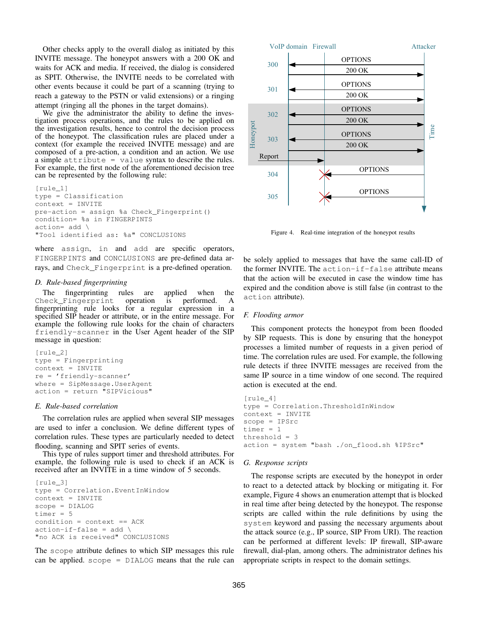Other checks apply to the overall dialog as initiated by this INVITE message. The honeypot answers with a 200 OK and waits for ACK and media. If received, the dialog is considered as SPIT. Otherwise, the INVITE needs to be correlated with other events because it could be part of a scanning (trying to reach a gateway to the PSTN or valid extensions) or a ringing attempt (ringing all the phones in the target domains).

We give the administrator the ability to define the investigation process operations, and the rules to be applied on the investigation results, hence to control the decision process of the honeypot. The classification rules are placed under a context (for example the received INVITE message) and are composed of a pre-action, a condition and an action. We use a simple attribute = value syntax to describe the rules. For example, the first node of the aforementioned decision tree can be represented by the following rule:

```
[rule_1]
type = Classification
context = INVITE
pre-action = assign %a Check_Fingerprint()
condition= %a in FINGERPINTS
action= add \
"Tool identified as: %a" CONCLUSIONS
```
where assign, in and add are specific operators, FINGERPINTS and CONCLUSIONS are pre-defined data arrays, and Check Fingerprint is a pre-defined operation.

# *D. Rule-based fingerprinting*

The fingerprinting rules are applied when the neck Fingerprint operation is performed. A Check\_Fingerprint fingerprinting rule looks for a regular expression in a specified SIP header or attribute, or in the entire message. For example the following rule looks for the chain of characters friendly-scanner in the User Agent header of the SIP message in question:

```
[rule_2]
type = Fingerprinting
context = INVITE
re = 'friendly-scanner'
where = SipMessage.UserAgent
action = return "SIPVicious"
```
## *E. Rule-based correlation*

The correlation rules are applied when several SIP messages are used to infer a conclusion. We define different types of correlation rules. These types are particularly needed to detect flooding, scanning and SPIT series of events.

This type of rules support timer and threshold attributes. For example, the following rule is used to check if an ACK is received after an INVITE in a time window of 5 seconds.

```
[rule_3]
type = Correlation.EventInWindow
context = INVITE
scope = DIALOG
timer = 5
condition = context == ACK
action-if-false = add \setminus"no ACK is received" CONCLUSIONS
```
The scope attribute defines to which SIP messages this rule can be applied.  $\text{scope} = \text{DIALOG}$  means that the rule can



Figure 4. Real-time integration of the honeypot results

be solely applied to messages that have the same call-ID of the former INVITE. The  $action-if-false$  attribute means that the action will be executed in case the window time has expired and the condition above is still false (in contrast to the action attribute).

# *F. Flooding armor*

This component protects the honeypot from been flooded by SIP requests. This is done by ensuring that the honeypot processes a limited number of requests in a given period of time. The correlation rules are used. For example, the following rule detects if three INVITE messages are received from the same IP source in a time window of one second. The required action is executed at the end.

```
[rule_4]
type = Correlation.ThresholdInWindow
context = INVITE
scope = IPSrc
timer = 1
threshold = 3
action = system "bash ./on_flood.sh %IPSrc"
```
# *G. Response scripts*

The response scripts are executed by the honeypot in order to react to a detected attack by blocking or mitigating it. For example, Figure 4 shows an enumeration attempt that is blocked in real time after being detected by the honeypot. The response scripts are called within the rule definitions by using the system keyword and passing the necessary arguments about the attack source (e.g., IP source, SIP From URI). The reaction can be performed at different levels: IP firewall, SIP-aware firewall, dial-plan, among others. The administrator defines his appropriate scripts in respect to the domain settings.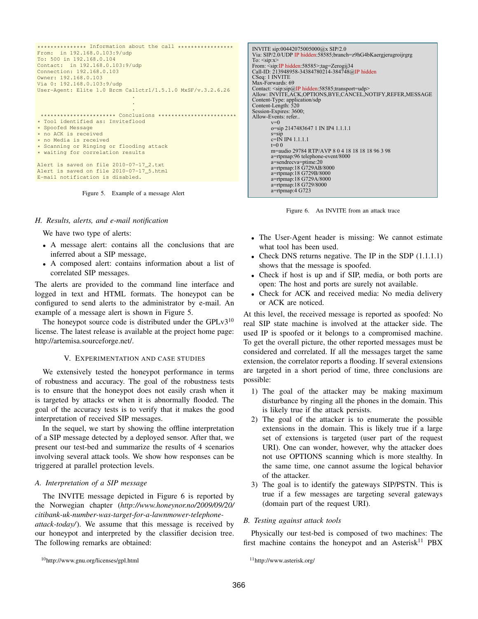```
*************** Information about the call *****************
From: in 192.168.0.103:9/udp
To: 500 in 192.168.0.104
Contact: in 192.168.0.103:9/udp
Connection: 192.168.0.103
Owner: 192.168.0.103
Via 0: 192.168.0.103:9/udp
User-Agent: Elite 1.0 Brcm Callctrl/1.5.1.0 MxSF/v.3.2.6.26
                              .
                              .
                              .
 *********************** Conclusions ************************
* Tool identified as: Inviteflood
* Spoofed Message
* no ACK is received
* no Media is received
* Scanning or Ringing or flooding attack
* waiting for correlation results
Alert is saved on file 2010-07-17_2.txt
Alert is saved on file 2010-07-17_5.html
E-mail notification is disabled.
```
Figure 5. Example of a message Alert

#### *H. Results, alerts, and e-mail notification*

We have two type of alerts:

- A message alert: contains all the conclusions that are inferred about a SIP message,
- A composed alert: contains information about a list of correlated SIP messages.

The alerts are provided to the command line interface and logged in text and HTML formats. The honeypot can be configured to send alerts to the administrator by e-mail. An example of a message alert is shown in Figure 5.

The honeypot source code is distributed under the  $GPLv3^{10}$ license. The latest release is available at the project home page: http://artemisa.sourceforge.net/.

#### V. EXPERIMENTATION AND CASE STUDIES

We extensively tested the honeypot performance in terms of robustness and accuracy. The goal of the robustness tests is to ensure that the honeypot does not easily crash when it is targeted by attacks or when it is abnormally flooded. The goal of the accuracy tests is to verify that it makes the good interpretation of received SIP messages.

In the sequel, we start by showing the offline interpretation of a SIP message detected by a deployed sensor. After that, we present our test-bed and summarize the results of 4 scenarios involving several attack tools. We show how responses can be triggered at parallel protection levels.

# *A. Interpretation of a SIP message*

The INVITE message depicted in Figure 6 is reported by the Norwegian chapter (*http://www.honeynor.no/2009/09/20/ citibank-uk-number-was-target-for-a-lawnmower-telephoneattack-today/*). We assume that this message is received by our honeypot and interpreted by the classifier decision tree. The following remarks are obtained:

INVITE sip:00442075005000@x SIP/2.0<br>Via: SIP/2.0/UDP IP hidden:58585;branch=z9hG4bKaergjerugroijrgrg To: <sip:x> From: <sip:IP hidden:58585>;tag=Zerogij34 Call-ID: 213948958-34384780214-384748@IP hidden CSeq: 1 INVITE Max-Forwards: 69 Contact: <sip:sip@IP hidden:58585;transport=udp> Allow: INVITE,ACK,OPTIONS,BYE,CANCEL,NOTIFY,REFER,MESSAGE Content-Type: application/sdp Content-Length: 520 Session-Expires: 3600; Allow-Events: refer.<br> $v=0$ o=sip 2147483647 1 IN IP4 1.1.1.1 s=sip c=IN IP4 1.1.1.1  $t=0.0$ m=audio 29784 RTP/AVP 8 0 4 18 18 18 18 96 3 98 a=rtpmap:96 telephone-event/8000 a=sendrecva=ptime:20 a=rtpmap:18 G729AB/8000 a=rtpmap:18 G729B/8000 a=rtpmap:18 G729A/8000 a=rtpmap:18 G729/8000 a=rtpmap:4 G723



- The User-Agent header is missing: We cannot estimate what tool has been used.
- Check DNS returns negative. The IP in the SDP (1.1.1.1) shows that the message is spoofed.
- Check if host is up and if SIP, media, or both ports are open: The host and ports are surely not available.
- Check for ACK and received media: No media delivery or ACK are noticed.

At this level, the received message is reported as spoofed: No real SIP state machine is involved at the attacker side. The used IP is spoofed or it belongs to a compromised machine. To get the overall picture, the other reported messages must be considered and correlated. If all the messages target the same extension, the correlator reports a flooding. If several extensions are targeted in a short period of time, three conclusions are possible:

- 1) The goal of the attacker may be making maximum disturbance by ringing all the phones in the domain. This is likely true if the attack persists.
- 2) The goal of the attacker is to enumerate the possible extensions in the domain. This is likely true if a large set of extensions is targeted (user part of the request URI). One can wonder, however, why the attacker does not use OPTIONS scanning which is more stealthy. In the same time, one cannot assume the logical behavior of the attacker.
- 3) The goal is to identify the gateways SIP/PSTN. This is true if a few messages are targeting several gateways (domain part of the request URI).

#### *B. Testing against attack tools*

Physically our test-bed is composed of two machines: The first machine contains the honeypot and an Asterisk<sup>11</sup> PBX

<sup>10</sup>http://www.gnu.org/licenses/gpl.html

<sup>11</sup>http://www.asterisk.org/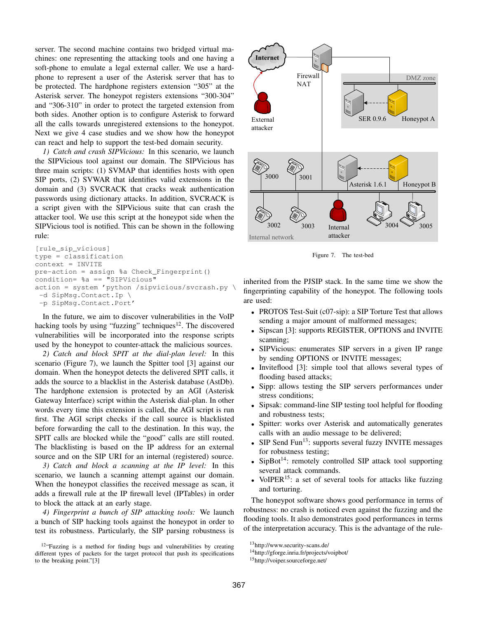server. The second machine contains two bridged virtual machines: one representing the attacking tools and one having a soft-phone to emulate a legal external caller. We use a hardphone to represent a user of the Asterisk server that has to be protected. The hardphone registers extension "305" at the Asterisk server. The honeypot registers extensions "300-304" and "306-310" in order to protect the targeted extension from both sides. Another option is to configure Asterisk to forward all the calls towards unregistered extensions to the honeypot. Next we give 4 case studies and we show how the honeypot can react and help to support the test-bed domain security.

*1) Catch and crash SIPVicious:* In this scenario, we launch the SIPVicious tool against our domain. The SIPVicious has three main scripts: (1) SVMAP that identifies hosts with open SIP ports, (2) SVWAR that identifies valid extensions in the domain and (3) SVCRACK that cracks weak authentication passwords using dictionary attacks. In addition, SVCRACK is a script given with the SIPVicious suite that can crash the attacker tool. We use this script at the honeypot side when the SIPVicious tool is notified. This can be shown in the following rule:

```
[rule_sip_vicious]
type = classification
context = INVITE
pre-action = assign %a Check_Fingerprint()
\text{condition} = \text{a} = \text{``SIPVicious''}action = system 'python /sipvicious/svcrash.py \
-d SipMsg.Contact.Ip \
-p SipMsg.Contact.Port'
```
In the future, we aim to discover vulnerabilities in the VoIP hacking tools by using "fuzzing" techniques<sup>12</sup>. The discovered vulnerabilities will be incorporated into the response scripts used by the honeypot to counter-attack the malicious sources.

*2) Catch and block SPIT at the dial-plan level:* In this scenario (Figure 7), we launch the Spitter tool [3] against our domain. When the honeypot detects the delivered SPIT calls, it adds the source to a blacklist in the Asterisk database (AstDb). The hardphone extension is protected by an AGI (Asterisk Gateway Interface) script within the Asterisk dial-plan. In other words every time this extension is called, the AGI script is run first. The AGI script checks if the call source is blacklisted before forwarding the call to the destination. In this way, the SPIT calls are blocked while the "good" calls are still routed. The blacklisting is based on the IP address for an external source and on the SIP URI for an internal (registered) source.

*3) Catch and block a scanning at the IP level:* In this scenario, we launch a scanning attempt against our domain. When the honeypot classifies the received message as scan, it adds a firewall rule at the IP firewall level (IPTables) in order to block the attack at an early stage.

*4) Fingerprint a bunch of SIP attacking tools:* We launch a bunch of SIP hacking tools against the honeypot in order to test its robustness. Particularly, the SIP parsing robustness is



Figure 7. The test-bed

inherited from the PJSIP stack. In the same time we show the fingerprinting capability of the honeypot. The following tools are used:

- PROTOS Test-Suit (c07-sip): a SIP Torture Test that allows sending a major amount of malformed messages;
- Sipscan [3]: supports REGISTER, OPTIONS and INVITE scanning;
- SIPVicious: enumerates SIP servers in a given IP range by sending OPTIONS or INVITE messages;
- Inviteflood [3]: simple tool that allows several types of flooding based attacks;
- Sipp: allows testing the SIP servers performances under stress conditions;
- Sipsak: command-line SIP testing tool helpful for flooding and robustness tests;
- Spitter: works over Asterisk and automatically generates calls with an audio message to be delivered;
- $SIP$  Send Fun<sup>13</sup>: supports several fuzzy INVITE messages for robustness testing;
- SipBot<sup>14</sup>: remotely controlled SIP attack tool supporting several attack commands.
- VoIPER $^{15}$ : a set of several tools for attacks like fuzzing and torturing.

The honeypot software shows good performance in terms of robustness: no crash is noticed even against the fuzzing and the flooding tools. It also demonstrates good performances in terms of the interpretation accuracy. This is the advantage of the rule-

<sup>&</sup>lt;sup>12</sup>"Fuzzing is a method for finding bugs and vulnerabilities by creating different types of packets for the target protocol that push its specifications to the breaking point."[3]

<sup>13</sup>http://www.security-scans.de/

<sup>14</sup>http://gforge.inria.fr/projects/voipbot/

<sup>15</sup>http://voiper.sourceforge.net/